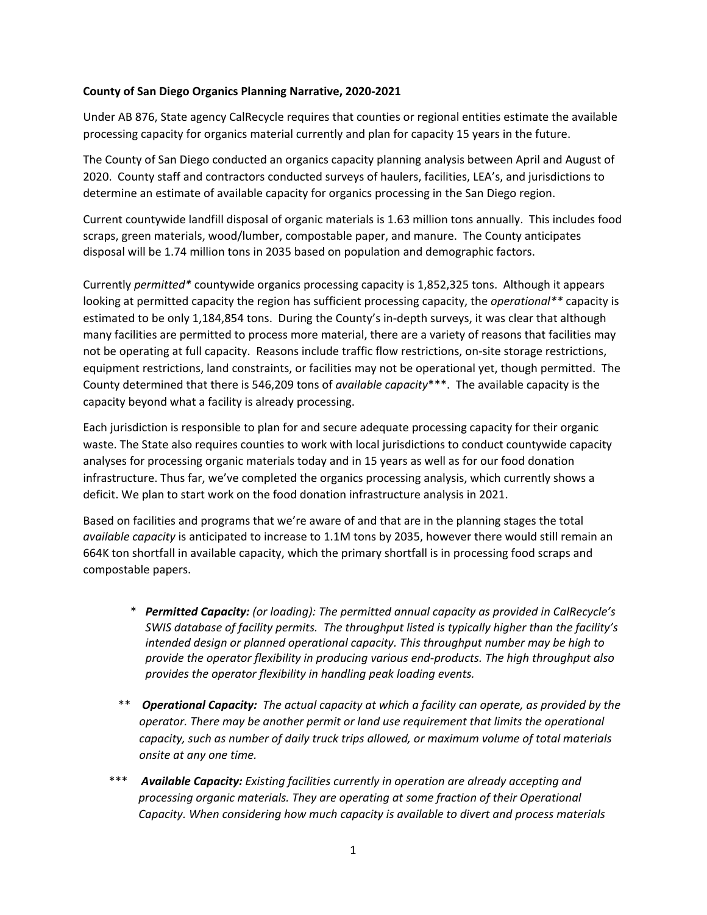## **County of San Diego Organics Planning Narrative, 2020-2021**

Under AB 876, State agency CalRecycle requires that counties or regional entities estimate the available processing capacity for organics material currently and plan for capacity 15 years in the future.

The County of San Diego conducted an organics capacity planning analysis between April and August of 2020. County staff and contractors conducted surveys of haulers, facilities, LEA's, and jurisdictions to determine an estimate of available capacity for organics processing in the San Diego region.

Current countywide landfill disposal of organic materials is 1.63 million tons annually. This includes food scraps, green materials, wood/lumber, compostable paper, and manure. The County anticipates disposal will be 1.74 million tons in 2035 based on population and demographic factors.

Currently *permitted\** countywide organics processing capacity is 1,852,325 tons. Although it appears looking at permitted capacity the region has sufficient processing capacity, the *operational\*\** capacity is estimated to be only 1,184,854 tons. During the County's in-depth surveys, it was clear that although many facilities are permitted to process more material, there are a variety of reasons that facilities may not be operating at full capacity. Reasons include traffic flow restrictions, on-site storage restrictions, equipment restrictions, land constraints, or facilities may not be operational yet, though permitted. The County determined that there is 546,209 tons of *available capacity*\*\*\*. The available capacity is the capacity beyond what a facility is already processing.

Each jurisdiction is responsible to plan for and secure adequate processing capacity for their organic waste. The State also requires counties to work with local jurisdictions to conduct countywide capacity analyses for processing organic materials today and in 15 years as well as for our food donation infrastructure. Thus far, we've completed the organics processing analysis, which currently shows a deficit. We plan to start work on the food donation infrastructure analysis in 2021.

Based on facilities and programs that we're aware of and that are in the planning stages the total *available capacity* is anticipated to increase to 1.1M tons by 2035, however there would still remain an 664K ton shortfall in available capacity, which the primary shortfall is in processing food scraps and compostable papers.

- \* *Permitted Capacity: (or loading): The permitted annual capacity as provided in CalRecycle's SWIS database of facility permits. The throughput listed is typically higher than the facility's intended design or planned operational capacity. This throughput number may be high to provide the operator flexibility in producing various end-products. The high throughput also provides the operator flexibility in handling peak loading events.*
- \*\* *Operational Capacity: The actual capacity at which a facility can operate, as provided by the operator. There may be another permit or land use requirement that limits the operational capacity, such as number of daily truck trips allowed, or maximum volume of total materials onsite at any one time.*
- \*\*\* *Available Capacity: Existing facilities currently in operation are already accepting and processing organic materials. They are operating at some fraction of their Operational Capacity. When considering how much capacity is available to divert and process materials*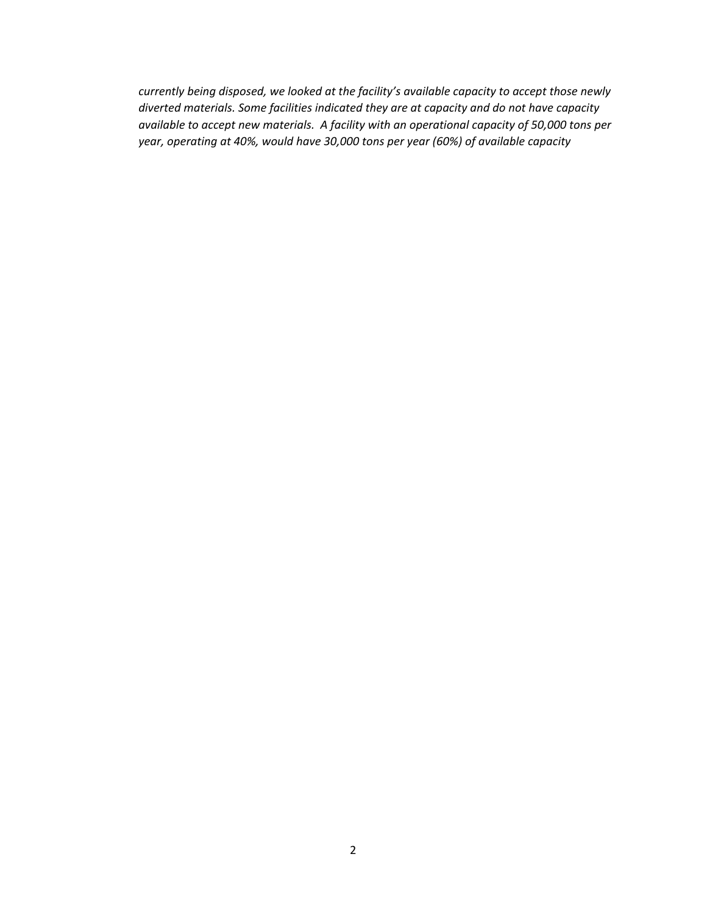*currently being disposed, we looked at the facility's available capacity to accept those newly diverted materials. Some facilities indicated they are at capacity and do not have capacity available to accept new materials. A facility with an operational capacity of 50,000 tons per year, operating at 40%, would have 30,000 tons per year (60%) of available capacity*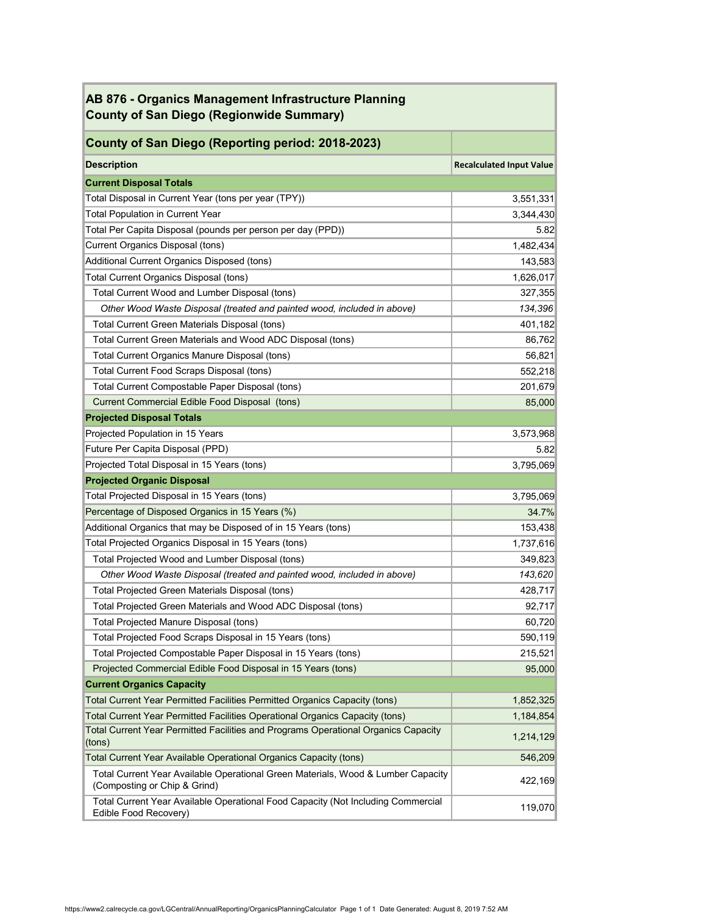| AB 876 - Organics Management Infrastructure Planning<br><b>County of San Diego (Regionwide Summary)</b>          |                                 |  |
|------------------------------------------------------------------------------------------------------------------|---------------------------------|--|
| County of San Diego (Reporting period: 2018-2023)                                                                |                                 |  |
| <b>Description</b>                                                                                               | <b>Recalculated Input Value</b> |  |
| <b>Current Disposal Totals</b>                                                                                   |                                 |  |
| Total Disposal in Current Year (tons per year (TPY))                                                             | 3,551,331                       |  |
| <b>Total Population in Current Year</b>                                                                          | 3,344,430                       |  |
| Total Per Capita Disposal (pounds per person per day (PPD))                                                      | 5.82                            |  |
| Current Organics Disposal (tons)                                                                                 | 1,482,434                       |  |
| Additional Current Organics Disposed (tons)                                                                      | 143,583                         |  |
| <b>Total Current Organics Disposal (tons)</b>                                                                    | 1,626,017                       |  |
| Total Current Wood and Lumber Disposal (tons)                                                                    | 327,355                         |  |
| Other Wood Waste Disposal (treated and painted wood, included in above)                                          | 134,396                         |  |
| <b>Total Current Green Materials Disposal (tons)</b>                                                             | 401,182                         |  |
| Total Current Green Materials and Wood ADC Disposal (tons)                                                       | 86,762                          |  |
| <b>Total Current Organics Manure Disposal (tons)</b>                                                             | 56,821                          |  |
| <b>Total Current Food Scraps Disposal (tons)</b>                                                                 | 552,218                         |  |
| Total Current Compostable Paper Disposal (tons)                                                                  | 201,679                         |  |
| <b>Current Commercial Edible Food Disposal (tons)</b>                                                            | 85,000                          |  |
| <b>Projected Disposal Totals</b>                                                                                 |                                 |  |
| Projected Population in 15 Years                                                                                 | 3,573,968                       |  |
| Future Per Capita Disposal (PPD)                                                                                 | 5.82                            |  |
| Projected Total Disposal in 15 Years (tons)                                                                      | 3,795,069                       |  |
| <b>Projected Organic Disposal</b>                                                                                |                                 |  |
| Total Projected Disposal in 15 Years (tons)                                                                      | 3,795,069                       |  |
| Percentage of Disposed Organics in 15 Years (%)                                                                  | 34.7%                           |  |
| Additional Organics that may be Disposed of in 15 Years (tons)                                                   | 153,438                         |  |
| Total Projected Organics Disposal in 15 Years (tons)                                                             | 1,737,616                       |  |
| Total Projected Wood and Lumber Disposal (tons)                                                                  | 349,823                         |  |
| Other Wood Waste Disposal (treated and painted wood, included in above)                                          | 143,620                         |  |
| Total Projected Green Materials Disposal (tons)                                                                  | 428,717                         |  |
| Total Projected Green Materials and Wood ADC Disposal (tons)                                                     | 92,717                          |  |
| Total Projected Manure Disposal (tons)                                                                           | 60,720                          |  |
| Total Projected Food Scraps Disposal in 15 Years (tons)                                                          | 590,119                         |  |
| Total Projected Compostable Paper Disposal in 15 Years (tons)                                                    | 215,521                         |  |
| Projected Commercial Edible Food Disposal in 15 Years (tons)                                                     | 95,000                          |  |
| <b>Current Organics Capacity</b>                                                                                 |                                 |  |
| Total Current Year Permitted Facilities Permitted Organics Capacity (tons)                                       | 1,852,325                       |  |
| Total Current Year Permitted Facilities Operational Organics Capacity (tons)                                     | 1,184,854                       |  |
| Total Current Year Permitted Facilities and Programs Operational Organics Capacity<br>(tons)                     | 1,214,129                       |  |
| <b>Total Current Year Available Operational Organics Capacity (tons)</b>                                         | 546,209                         |  |
| Total Current Year Available Operational Green Materials, Wood & Lumber Capacity<br>(Composting or Chip & Grind) | 422,169                         |  |
| Total Current Year Available Operational Food Capacity (Not Including Commercial<br>Edible Food Recovery)        | 119,070                         |  |

**Contract Contract Contract Contract**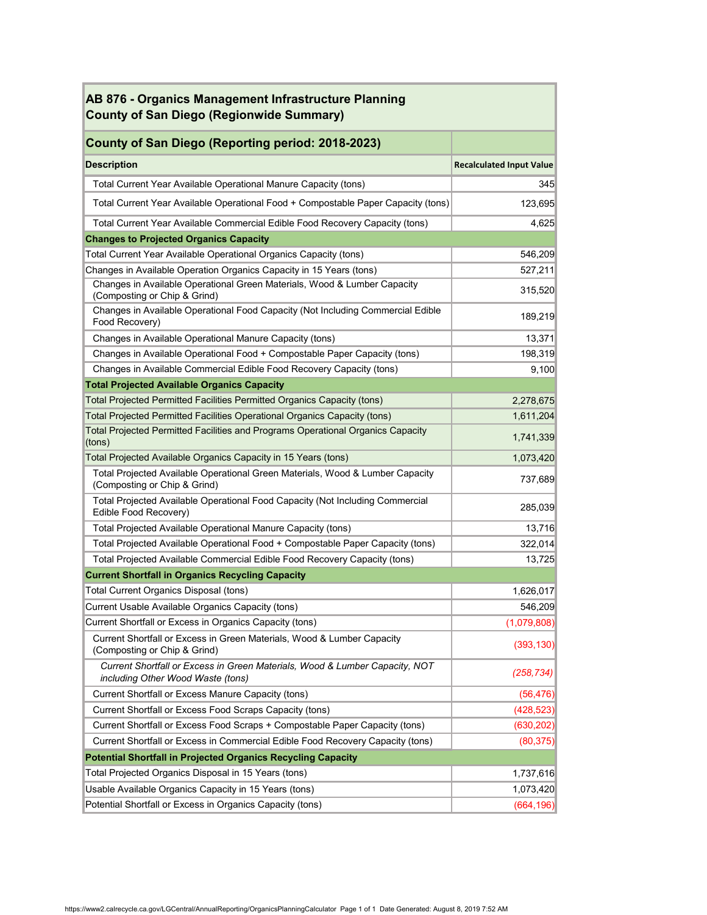| AB 876 - Organics Management Infrastructure Planning<br><b>County of San Diego (Regionwide Summary)</b>          |                                 |
|------------------------------------------------------------------------------------------------------------------|---------------------------------|
| <b>County of San Diego (Reporting period: 2018-2023)</b>                                                         |                                 |
| <b>Description</b>                                                                                               | <b>Recalculated Input Value</b> |
| Total Current Year Available Operational Manure Capacity (tons)                                                  | 345                             |
| Total Current Year Available Operational Food + Compostable Paper Capacity (tons)                                | 123,695                         |
| Total Current Year Available Commercial Edible Food Recovery Capacity (tons)                                     | 4,625                           |
| <b>Changes to Projected Organics Capacity</b>                                                                    |                                 |
| Total Current Year Available Operational Organics Capacity (tons)                                                | 546,209                         |
| Changes in Available Operation Organics Capacity in 15 Years (tons)                                              | 527,211                         |
| Changes in Available Operational Green Materials, Wood & Lumber Capacity<br>(Composting or Chip & Grind)         | 315,520                         |
| Changes in Available Operational Food Capacity (Not Including Commercial Edible<br>Food Recovery)                | 189,219                         |
| Changes in Available Operational Manure Capacity (tons)                                                          | 13,371                          |
| Changes in Available Operational Food + Compostable Paper Capacity (tons)                                        | 198,319                         |
| Changes in Available Commercial Edible Food Recovery Capacity (tons)                                             | 9,100                           |
| <b>Total Projected Available Organics Capacity</b>                                                               |                                 |
| Total Projected Permitted Facilities Permitted Organics Capacity (tons)                                          | 2,278,675                       |
| Total Projected Permitted Facilities Operational Organics Capacity (tons)                                        | 1,611,204                       |
| Total Projected Permitted Facilities and Programs Operational Organics Capacity<br>(tons)                        | 1,741,339                       |
| Total Projected Available Organics Capacity in 15 Years (tons)                                                   | 1,073,420                       |
| Total Projected Available Operational Green Materials, Wood & Lumber Capacity<br>(Composting or Chip & Grind)    | 737,689                         |
| <b>Total Projected Available Operational Food Capacity (Not Including Commercial</b><br>Edible Food Recovery)    | 285,039                         |
| <b>Total Projected Available Operational Manure Capacity (tons)</b>                                              | 13,716                          |
| Total Projected Available Operational Food + Compostable Paper Capacity (tons)                                   | 322,014                         |
| Total Projected Available Commercial Edible Food Recovery Capacity (tons)                                        | 13,725                          |
| <b>Current Shortfall in Organics Recycling Capacity</b>                                                          |                                 |
| <b>Total Current Organics Disposal (tons)</b>                                                                    | 1,626,017                       |
| Current Usable Available Organics Capacity (tons)                                                                | 546,209                         |
| Current Shortfall or Excess in Organics Capacity (tons)                                                          | (1,079,808)                     |
| Current Shortfall or Excess in Green Materials, Wood & Lumber Capacity<br>(Composting or Chip & Grind)           | (393, 130)                      |
| Current Shortfall or Excess in Green Materials, Wood & Lumber Capacity, NOT<br>including Other Wood Waste (tons) | (258, 734)                      |
| Current Shortfall or Excess Manure Capacity (tons)                                                               | (56, 476)                       |
| Current Shortfall or Excess Food Scraps Capacity (tons)                                                          | (428, 523)                      |
| Current Shortfall or Excess Food Scraps + Compostable Paper Capacity (tons)                                      | (630, 202)                      |
| Current Shortfall or Excess in Commercial Edible Food Recovery Capacity (tons)                                   | (80, 375)                       |
| <b>Potential Shortfall in Projected Organics Recycling Capacity</b>                                              |                                 |
| Total Projected Organics Disposal in 15 Years (tons)                                                             | 1,737,616                       |
| Usable Available Organics Capacity in 15 Years (tons)                                                            | 1,073,420                       |
| Potential Shortfall or Excess in Organics Capacity (tons)                                                        | (664, 196)                      |